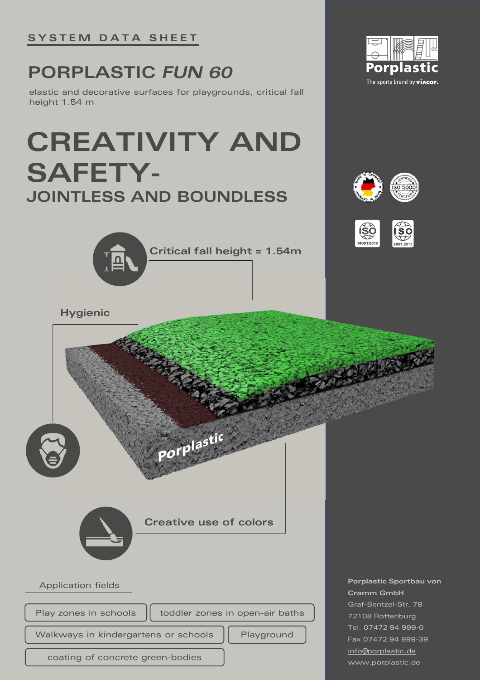## **PORPLASTIC** *FUN 60*

elastic and decorative surfaces for playgrounds, critical fall height 1.54 m

## **CREATIVITY AND SAFETY-JOINTLESS AND BOUNDLESS**







**Hygienic** Porplastic **Creative use of colorsPorplastic Sportbau von**  Application fields **Cramm GmbH** Graf-Bentzel-Str. 78 Play zones in schools  $\|\cdot\|$  toddler zones in open-air baths 72108 Rottenburg Tel. 07472 94 999-0 Walkways in kindergartens or schools | Playground Fax 07472 94 999-39 info@porplastic.de coating of concrete green-bodies www.porplastic.de

**Critical fall height = 1.54m**